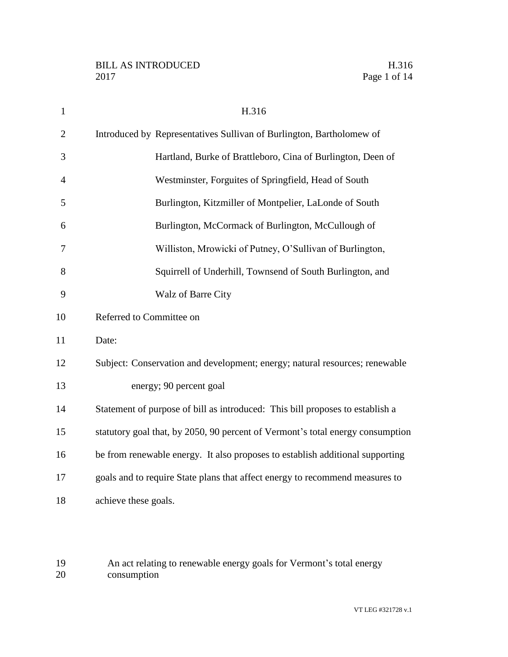| $\mathbf{1}$   | H.316                                                                          |
|----------------|--------------------------------------------------------------------------------|
| $\overline{2}$ | Introduced by Representatives Sullivan of Burlington, Bartholomew of           |
| 3              | Hartland, Burke of Brattleboro, Cina of Burlington, Deen of                    |
| $\overline{4}$ | Westminster, Forguites of Springfield, Head of South                           |
| 5              | Burlington, Kitzmiller of Montpelier, LaLonde of South                         |
| 6              | Burlington, McCormack of Burlington, McCullough of                             |
| 7              | Williston, Mrowicki of Putney, O'Sullivan of Burlington,                       |
| 8              | Squirrell of Underhill, Townsend of South Burlington, and                      |
| 9              | Walz of Barre City                                                             |
| 10             | Referred to Committee on                                                       |
| 11             | Date:                                                                          |
| 12             | Subject: Conservation and development; energy; natural resources; renewable    |
| 13             | energy; 90 percent goal                                                        |
| 14             | Statement of purpose of bill as introduced: This bill proposes to establish a  |
| 15             | statutory goal that, by 2050, 90 percent of Vermont's total energy consumption |
| 16             | be from renewable energy. It also proposes to establish additional supporting  |
| 17             | goals and to require State plans that affect energy to recommend measures to   |
| 18             | achieve these goals.                                                           |

 An act relating to renewable energy goals for Vermont's total energy consumption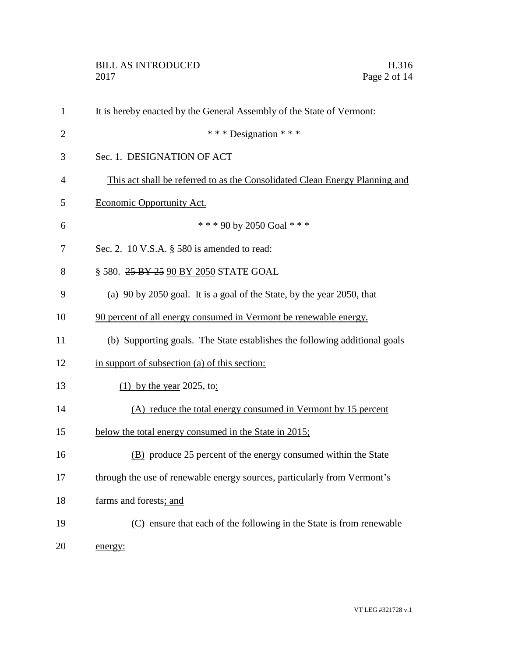| $\mathbf{1}$   | It is hereby enacted by the General Assembly of the State of Vermont:       |
|----------------|-----------------------------------------------------------------------------|
| $\overline{2}$ | *** Designation ***                                                         |
| 3              | Sec. 1. DESIGNATION OF ACT                                                  |
| 4              | This act shall be referred to as the Consolidated Clean Energy Planning and |
| 5              | Economic Opportunity Act.                                                   |
| 6              | *** 90 by 2050 Goal ***                                                     |
| 7              | Sec. 2. 10 V.S.A. § 580 is amended to read:                                 |
| 8              | § 580. 25 BY 25 90 BY 2050 STATE GOAL                                       |
| 9              | (a) $90$ by 2050 goal. It is a goal of the State, by the year 2050, that    |
| 10             | 90 percent of all energy consumed in Vermont be renewable energy.           |
| 11             | (b) Supporting goals. The State establishes the following additional goals  |
| 12             | in support of subsection (a) of this section:                               |
| 13             | (1) by the year 2025, to:                                                   |
| 14             | (A) reduce the total energy consumed in Vermont by 15 percent               |
| 15             | below the total energy consumed in the State in 2015;                       |
| 16             | (B) produce 25 percent of the energy consumed within the State              |
| 17             | through the use of renewable energy sources, particularly from Vermont's    |
| 18             | farms and forests; and                                                      |
| 19             | (C) ensure that each of the following in the State is from renewable        |
| 20             | energy:                                                                     |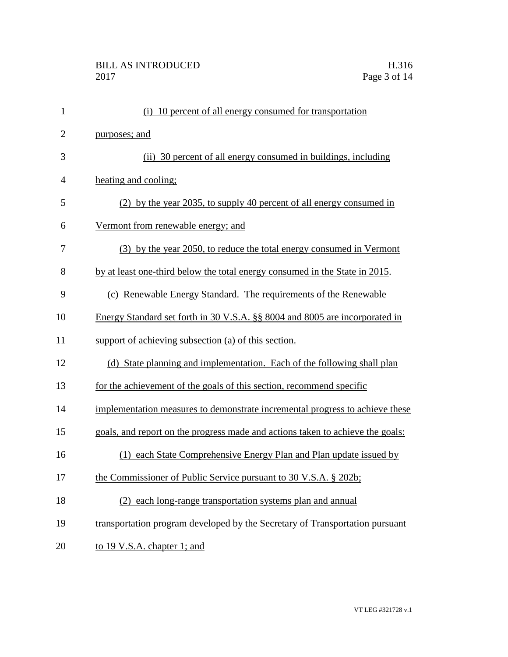| $\mathbf{1}$   | (i) 10 percent of all energy consumed for transportation                       |
|----------------|--------------------------------------------------------------------------------|
| $\overline{2}$ | purposes; and                                                                  |
| 3              | (ii) 30 percent of all energy consumed in buildings, including                 |
| $\overline{4}$ | heating and cooling;                                                           |
| 5              | (2) by the year 2035, to supply 40 percent of all energy consumed in           |
| 6              | Vermont from renewable energy; and                                             |
| 7              | (3) by the year 2050, to reduce the total energy consumed in Vermont           |
| 8              | by at least one-third below the total energy consumed in the State in 2015.    |
| 9              | (c) Renewable Energy Standard. The requirements of the Renewable               |
| 10             | Energy Standard set forth in 30 V.S.A. §§ 8004 and 8005 are incorporated in    |
| 11             | support of achieving subsection (a) of this section.                           |
| 12             | (d) State planning and implementation. Each of the following shall plan        |
| 13             | for the achievement of the goals of this section, recommend specific           |
| 14             | implementation measures to demonstrate incremental progress to achieve these   |
| 15             | goals, and report on the progress made and actions taken to achieve the goals: |
| 16             | each State Comprehensive Energy Plan and Plan update issued by                 |
| 17             | the Commissioner of Public Service pursuant to 30 V.S.A. § 202b;               |
| 18             | (2) each long-range transportation systems plan and annual                     |
| 19             | transportation program developed by the Secretary of Transportation pursuant   |
| 20             | to 19 V.S.A. chapter 1; and                                                    |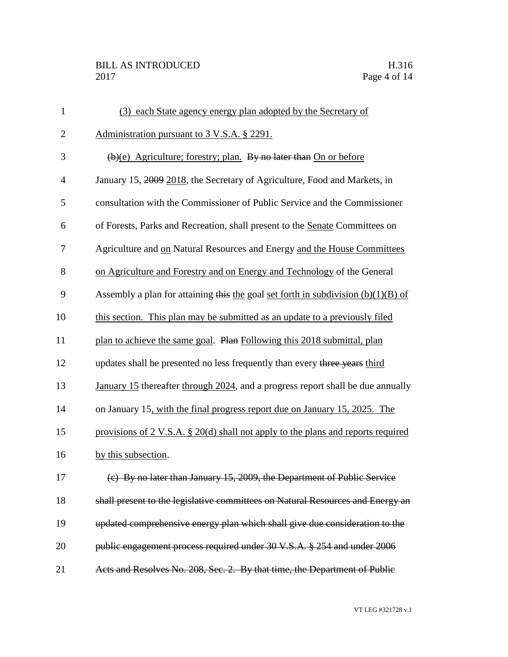| $\mathbf{1}$   | (3) each State agency energy plan adopted by the Secretary of                       |
|----------------|-------------------------------------------------------------------------------------|
| $\overline{2}$ | Administration pursuant to 3 V.S.A. § 2291.                                         |
| 3              | (b)(e) Agriculture; forestry; plan. By no later than On or before                   |
| $\overline{4}$ | January 15, 2009 2018, the Secretary of Agriculture, Food and Markets, in           |
| 5              | consultation with the Commissioner of Public Service and the Commissioner           |
| 6              | of Forests, Parks and Recreation, shall present to the Senate Committees on         |
| 7              | Agriculture and on Natural Resources and Energy and the House Committees            |
| 8              | on Agriculture and Forestry and on Energy and Technology of the General             |
| 9              | Assembly a plan for attaining this the goal set forth in subdivision $(b)(1)(B)$ of |
| 10             | this section. This plan may be submitted as an update to a previously filed         |
| 11             | plan to achieve the same goal. Plan Following this 2018 submittal, plan             |
| 12             | updates shall be presented no less frequently than every three years third          |
| 13             | January 15 thereafter through 2024, and a progress report shall be due annually     |
| 14             | on January 15, with the final progress report due on January 15, 2025. The          |
| 15             | provisions of 2 V.S.A. § 20(d) shall not apply to the plans and reports required    |
| 16             | by this subsection.                                                                 |
| 17             | (e) By no later than January 15, 2009, the Department of Public Service             |
| 18             | shall present to the legislative committees on Natural Resources and Energy an      |
| 19             | updated comprehensive energy plan which shall give due consideration to the         |
| 20             | public engagement process required under 30 V.S.A. § 254 and under 2006             |
| 21             | Acts and Resolves No. 208, Sec. 2. By that time, the Department of Public           |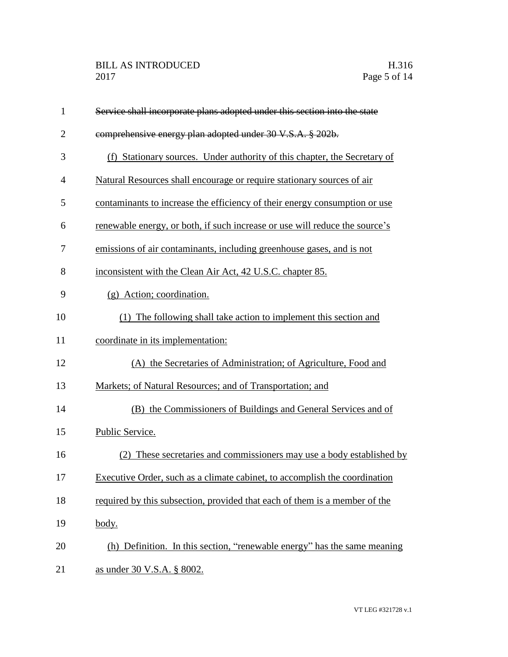| $\mathbf{1}$   | Service shall incorporate plans adopted under this section into the state   |
|----------------|-----------------------------------------------------------------------------|
| $\overline{2}$ | comprehensive energy plan adopted under 30 V.S.A. § 202b.                   |
| 3              | (f) Stationary sources. Under authority of this chapter, the Secretary of   |
| 4              | Natural Resources shall encourage or require stationary sources of air      |
| 5              | contaminants to increase the efficiency of their energy consumption or use  |
| 6              | renewable energy, or both, if such increase or use will reduce the source's |
| 7              | emissions of air contaminants, including greenhouse gases, and is not       |
| 8              | inconsistent with the Clean Air Act, 42 U.S.C. chapter 85.                  |
| 9              | (g) Action; coordination.                                                   |
| 10             | (1) The following shall take action to implement this section and           |
| 11             | coordinate in its implementation:                                           |
| 12             | (A) the Secretaries of Administration; of Agriculture, Food and             |
| 13             | Markets; of Natural Resources; and of Transportation; and                   |
| 14             | (B) the Commissioners of Buildings and General Services and of              |
| 15             | Public Service.                                                             |
| 16             | (2) These secretaries and commissioners may use a body established by       |
| 17             | Executive Order, such as a climate cabinet, to accomplish the coordination  |
| 18             | required by this subsection, provided that each of them is a member of the  |
| 19             | body.                                                                       |
| 20             | (h) Definition. In this section, "renewable energy" has the same meaning    |
| 21             | as under 30 V.S.A. § 8002.                                                  |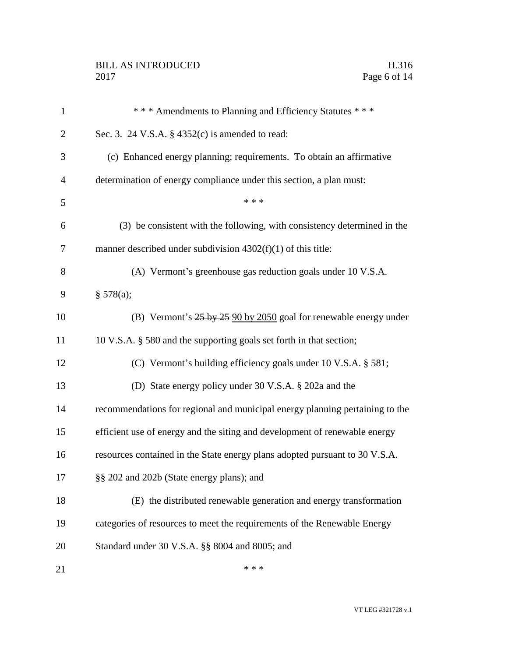## BILL AS INTRODUCED H.316<br>2017 Page 6 of 14

| $\mathbf{1}$   | *** Amendments to Planning and Efficiency Statutes ***                       |
|----------------|------------------------------------------------------------------------------|
| $\overline{2}$ | Sec. 3. 24 V.S.A. $\S$ 4352(c) is amended to read:                           |
| 3              | (c) Enhanced energy planning; requirements. To obtain an affirmative         |
| $\overline{4}$ | determination of energy compliance under this section, a plan must:          |
| 5              | * * *                                                                        |
| 6              | (3) be consistent with the following, with consistency determined in the     |
| $\tau$         | manner described under subdivision $4302(f)(1)$ of this title:               |
| 8              | (A) Vermont's greenhouse gas reduction goals under 10 V.S.A.                 |
| 9              | § 578(a);                                                                    |
| 10             | (B) Vermont's 25 by 25 90 by 2050 goal for renewable energy under            |
| 11             | 10 V.S.A. § 580 and the supporting goals set forth in that section;          |
| 12             | (C) Vermont's building efficiency goals under 10 V.S.A. § 581;               |
| 13             | (D) State energy policy under 30 V.S.A. § 202a and the                       |
| 14             | recommendations for regional and municipal energy planning pertaining to the |
| 15             | efficient use of energy and the siting and development of renewable energy   |
| 16             | resources contained in the State energy plans adopted pursuant to 30 V.S.A.  |
| 17             | §§ 202 and 202b (State energy plans); and                                    |
| 18             | (E) the distributed renewable generation and energy transformation           |
| 19             | categories of resources to meet the requirements of the Renewable Energy     |
| 20             | Standard under 30 V.S.A. §§ 8004 and 8005; and                               |
| 21             | * * *                                                                        |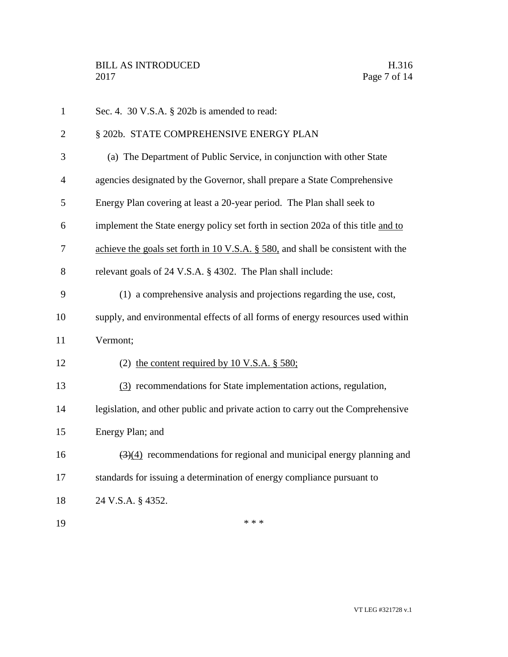| $\mathbf{1}$   | Sec. 4. 30 V.S.A. § 202b is amended to read:                                              |
|----------------|-------------------------------------------------------------------------------------------|
| $\overline{2}$ | § 202b. STATE COMPREHENSIVE ENERGY PLAN                                                   |
| 3              | (a) The Department of Public Service, in conjunction with other State                     |
| $\overline{4}$ | agencies designated by the Governor, shall prepare a State Comprehensive                  |
| 5              | Energy Plan covering at least a 20-year period. The Plan shall seek to                    |
| 6              | implement the State energy policy set forth in section 202a of this title and to          |
| 7              | achieve the goals set forth in 10 V.S.A. $\S$ 580, and shall be consistent with the       |
| 8              | relevant goals of 24 V.S.A. § 4302. The Plan shall include:                               |
| 9              | (1) a comprehensive analysis and projections regarding the use, cost,                     |
| 10             | supply, and environmental effects of all forms of energy resources used within            |
| 11             | Vermont;                                                                                  |
| 12             | (2) the content required by 10 V.S.A. $\S$ 580;                                           |
| 13             | (3) recommendations for State implementation actions, regulation,                         |
| 14             | legislation, and other public and private action to carry out the Comprehensive           |
| 15             | Energy Plan; and                                                                          |
| 16             | $\left(\frac{3}{4}\right)$ recommendations for regional and municipal energy planning and |
| 17             | standards for issuing a determination of energy compliance pursuant to                    |
| 18             | 24 V.S.A. § 4352.                                                                         |
| 19             | * * *                                                                                     |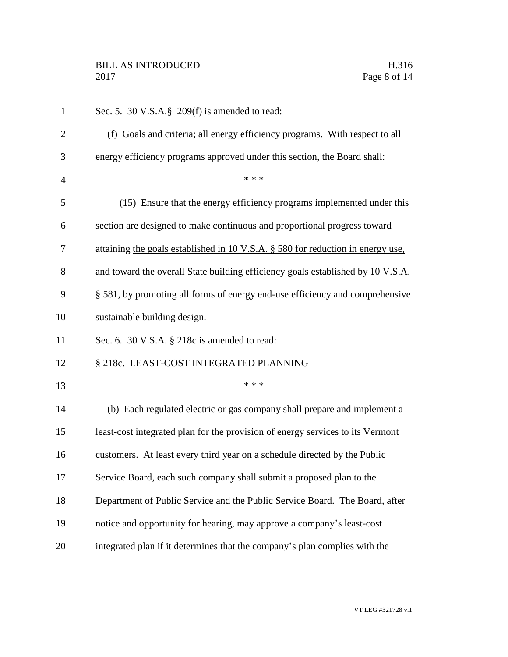| $\mathbf{1}$   | Sec. 5. 30 V.S.A.§ 209(f) is amended to read:                                   |
|----------------|---------------------------------------------------------------------------------|
| $\overline{2}$ | (f) Goals and criteria; all energy efficiency programs. With respect to all     |
| 3              | energy efficiency programs approved under this section, the Board shall:        |
| $\overline{4}$ | * * *                                                                           |
| 5              | (15) Ensure that the energy efficiency programs implemented under this          |
| 6              | section are designed to make continuous and proportional progress toward        |
| 7              | attaining the goals established in 10 V.S.A. § 580 for reduction in energy use, |
| 8              | and toward the overall State building efficiency goals established by 10 V.S.A. |
| 9              | § 581, by promoting all forms of energy end-use efficiency and comprehensive    |
| 10             | sustainable building design.                                                    |
| 11             | Sec. 6. 30 V.S.A. § 218c is amended to read:                                    |
| 12             | § 218c. LEAST-COST INTEGRATED PLANNING                                          |
| 13             | * * *                                                                           |
| 14             | (b) Each regulated electric or gas company shall prepare and implement a        |
| 15             | least-cost integrated plan for the provision of energy services to its Vermont  |
| 16             | customers. At least every third year on a schedule directed by the Public       |
| 17             | Service Board, each such company shall submit a proposed plan to the            |
| 18             | Department of Public Service and the Public Service Board. The Board, after     |
| 19             | notice and opportunity for hearing, may approve a company's least-cost          |
| 20             | integrated plan if it determines that the company's plan complies with the      |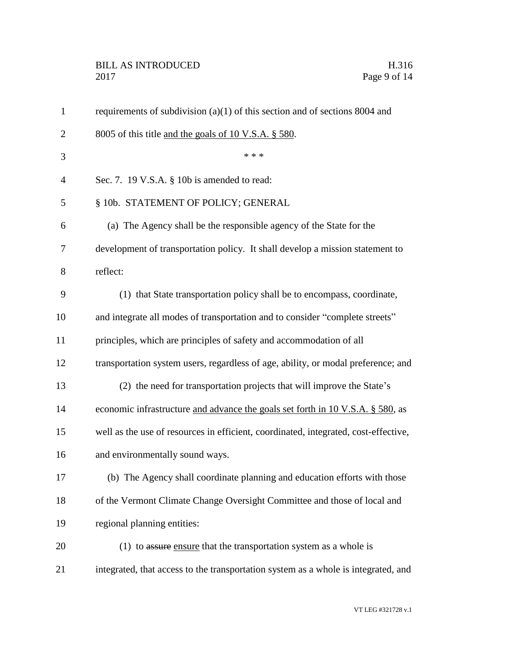## BILL AS INTRODUCED H.316 Page 9 of 14

| $\mathbf{1}$   | requirements of subdivision $(a)(1)$ of this section and of sections 8004 and       |
|----------------|-------------------------------------------------------------------------------------|
| $\overline{2}$ | 8005 of this title and the goals of 10 V.S.A. $\S$ 580.                             |
| 3              | * * *                                                                               |
| $\overline{4}$ | Sec. 7. 19 V.S.A. § 10b is amended to read:                                         |
| 5              | § 10b. STATEMENT OF POLICY; GENERAL                                                 |
| 6              | (a) The Agency shall be the responsible agency of the State for the                 |
| 7              | development of transportation policy. It shall develop a mission statement to       |
| 8              | reflect:                                                                            |
| 9              | (1) that State transportation policy shall be to encompass, coordinate,             |
| 10             | and integrate all modes of transportation and to consider "complete streets"        |
| 11             | principles, which are principles of safety and accommodation of all                 |
| 12             | transportation system users, regardless of age, ability, or modal preference; and   |
| 13             | (2) the need for transportation projects that will improve the State's              |
| 14             | economic infrastructure and advance the goals set forth in 10 V.S.A. § 580, as      |
| 15             | well as the use of resources in efficient, coordinated, integrated, cost-effective, |
| 16             | and environmentally sound ways.                                                     |
| 17             | (b) The Agency shall coordinate planning and education efforts with those           |
| 18             | of the Vermont Climate Change Oversight Committee and those of local and            |
| 19             | regional planning entities:                                                         |
| 20             | $(1)$ to assure ensure that the transportation system as a whole is                 |
| 21             | integrated, that access to the transportation system as a whole is integrated, and  |
|                |                                                                                     |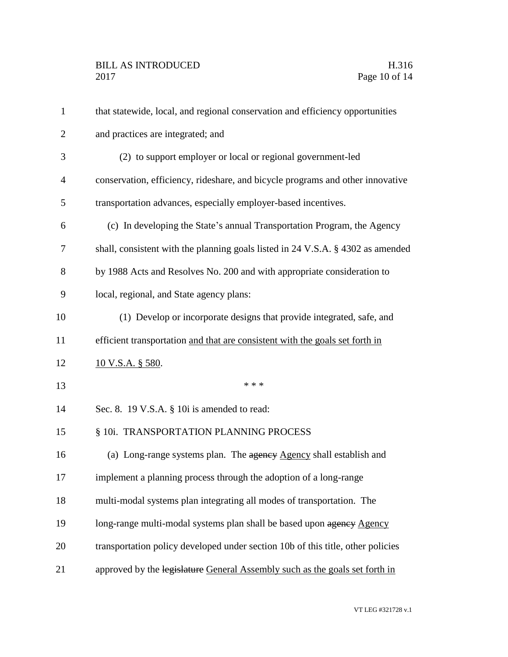| $\mathbf{1}$   | that statewide, local, and regional conservation and efficiency opportunities   |
|----------------|---------------------------------------------------------------------------------|
| $\overline{2}$ | and practices are integrated; and                                               |
| 3              | (2) to support employer or local or regional government-led                     |
| $\overline{4}$ | conservation, efficiency, rideshare, and bicycle programs and other innovative  |
| 5              | transportation advances, especially employer-based incentives.                  |
| 6              | (c) In developing the State's annual Transportation Program, the Agency         |
| 7              | shall, consistent with the planning goals listed in 24 V.S.A. § 4302 as amended |
| 8              | by 1988 Acts and Resolves No. 200 and with appropriate consideration to         |
| 9              | local, regional, and State agency plans:                                        |
| 10             | (1) Develop or incorporate designs that provide integrated, safe, and           |
| 11             | efficient transportation and that are consistent with the goals set forth in    |
| 12             | <u>10 V.S.A. § 580</u> .                                                        |
| 13             | * * *                                                                           |
| 14             | Sec. 8. 19 V.S.A. § 10i is amended to read:                                     |
| 15             | § 10i. TRANSPORTATION PLANNING PROCESS                                          |
| 16             | (a) Long-range systems plan. The agency Agency shall establish and              |
| 17             | implement a planning process through the adoption of a long-range               |
| 18             | multi-modal systems plan integrating all modes of transportation. The           |
| 19             | long-range multi-modal systems plan shall be based upon agency Agency           |
| 20             | transportation policy developed under section 10b of this title, other policies |
| 21             | approved by the legislature General Assembly such as the goals set forth in     |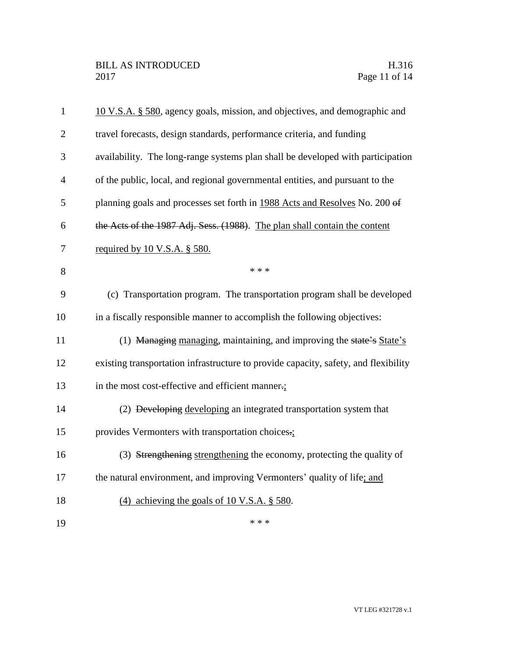| $\mathbf{1}$   | 10 V.S.A. § 580, agency goals, mission, and objectives, and demographic and         |
|----------------|-------------------------------------------------------------------------------------|
| $\mathfrak{2}$ | travel forecasts, design standards, performance criteria, and funding               |
| 3              | availability. The long-range systems plan shall be developed with participation     |
| $\overline{4}$ | of the public, local, and regional governmental entities, and pursuant to the       |
| 5              | planning goals and processes set forth in 1988 Acts and Resolves No. 200 of         |
| 6              | the Acts of the 1987 Adj. Sess. (1988). The plan shall contain the content          |
| 7              | required by 10 V.S.A. § 580.                                                        |
| 8              | * * *                                                                               |
| 9              | (c) Transportation program. The transportation program shall be developed           |
| 10             | in a fiscally responsible manner to accomplish the following objectives:            |
| 11             | (1) Managing managing, maintaining, and improving the state's State's               |
| 12             | existing transportation infrastructure to provide capacity, safety, and flexibility |
| 13             | in the most cost-effective and efficient manner.;                                   |
| 14             | (2) <del>Developing</del> developing an integrated transportation system that       |
| 15             | provides Vermonters with transportation choices.:                                   |
| 16             | (3) Strengthening strengthening the economy, protecting the quality of              |
| 17             | the natural environment, and improving Vermonters' quality of life; and             |
| 18             | (4) achieving the goals of 10 V.S.A. $\S$ 580.                                      |
| 19             | * * *                                                                               |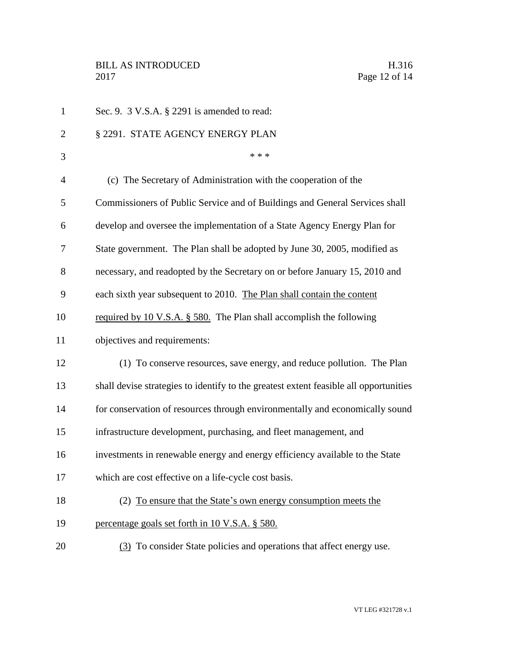| $\mathbf{1}$   | Sec. 9. 3 V.S.A. § 2291 is amended to read:                                           |
|----------------|---------------------------------------------------------------------------------------|
| $\overline{2}$ | § 2291. STATE AGENCY ENERGY PLAN                                                      |
| 3              | * * *                                                                                 |
| $\overline{4}$ | (c) The Secretary of Administration with the cooperation of the                       |
| 5              | Commissioners of Public Service and of Buildings and General Services shall           |
| 6              | develop and oversee the implementation of a State Agency Energy Plan for              |
| 7              | State government. The Plan shall be adopted by June 30, 2005, modified as             |
| 8              | necessary, and readopted by the Secretary on or before January 15, 2010 and           |
| 9              | each sixth year subsequent to 2010. The Plan shall contain the content                |
| 10             | required by 10 V.S.A. § 580. The Plan shall accomplish the following                  |
| 11             | objectives and requirements:                                                          |
| 12             | (1) To conserve resources, save energy, and reduce pollution. The Plan                |
| 13             | shall devise strategies to identify to the greatest extent feasible all opportunities |
| 14             | for conservation of resources through environmentally and economically sound          |
| 15             | infrastructure development, purchasing, and fleet management, and                     |
| 16             | investments in renewable energy and energy efficiency available to the State          |
| 17             | which are cost effective on a life-cycle cost basis.                                  |
| 18             | (2) To ensure that the State's own energy consumption meets the                       |
| 19             | percentage goals set forth in 10 V.S.A. § 580.                                        |
| 20             | (3) To consider State policies and operations that affect energy use.                 |
|                |                                                                                       |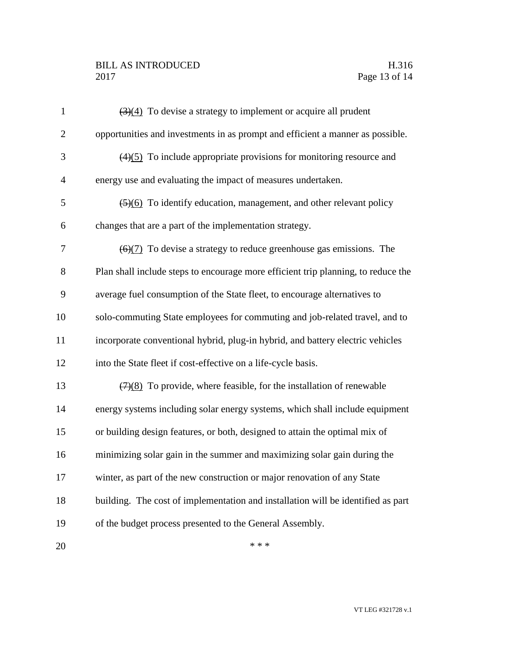## BILL AS INTRODUCED H.316 Page 13 of 14

| $\mathbf{1}$   | $\left(\frac{3}{4}\right)$ To devise a strategy to implement or acquire all prudent     |
|----------------|-----------------------------------------------------------------------------------------|
| $\overline{2}$ | opportunities and investments in as prompt and efficient a manner as possible.          |
| 3              | $(4)(5)$ To include appropriate provisions for monitoring resource and                  |
| $\overline{4}$ | energy use and evaluating the impact of measures undertaken.                            |
| 5              | $\left(\frac{5}{6}\right)$ To identify education, management, and other relevant policy |
| 6              | changes that are a part of the implementation strategy.                                 |
| 7              | $\left(\frac{6}{7}\right)$ To devise a strategy to reduce greenhouse gas emissions. The |
| 8              | Plan shall include steps to encourage more efficient trip planning, to reduce the       |
| 9              | average fuel consumption of the State fleet, to encourage alternatives to               |
| 10             | solo-commuting State employees for commuting and job-related travel, and to             |
| 11             | incorporate conventional hybrid, plug-in hybrid, and battery electric vehicles          |
| 12             | into the State fleet if cost-effective on a life-cycle basis.                           |
| 13             | $(7)(8)$ To provide, where feasible, for the installation of renewable                  |
| 14             | energy systems including solar energy systems, which shall include equipment            |
| 15             | or building design features, or both, designed to attain the optimal mix of             |
| 16             | minimizing solar gain in the summer and maximizing solar gain during the                |
| 17             | winter, as part of the new construction or major renovation of any State                |
| 18             | building. The cost of implementation and installation will be identified as part        |
| 19             | of the budget process presented to the General Assembly.                                |
| 20             | * * *                                                                                   |